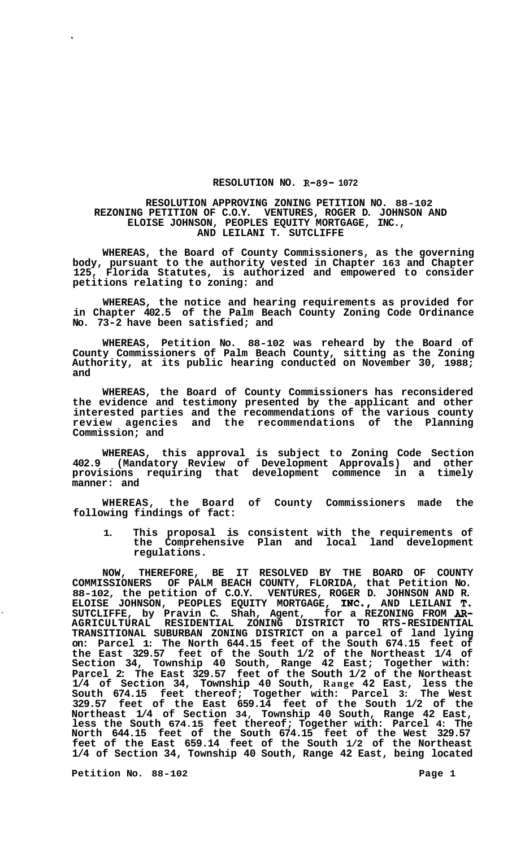## **RESOLUTION NO. R-89- 1072**

## **RESOLUTION APPROVING ZONING PETITION NO. 88-102 REZONING PETITION OF C.O.Y. VENTURES, ROGER D. JOHNSON AND AND LEILANI T. SUTCLIFFE ELOISE JOHNSON, PEOPLES EQUITY MORTGAGE, INC.,**

**WHEREAS, the Board of County Commissioners, as the governing body, pursuant to the authority vested in Chapter 163 and Chapter 125, Florida Statutes, is authorized and empowered to consider petitions relating to zoning: and** 

**WHEREAS, the notice and hearing requirements as provided for in Chapter 402.5 of the Palm Beach County Zoning Code Ordinance No. 73-2 have been satisfied; and** 

**WHEREAS, Petition No. 88-102 was reheard by the Board of County Commissioners of Palm Beach County, sitting as the Zoning Authority, at its public hearing conducted on November 30, 1988; and** 

**WHEREAS, the Board of County Commissioners has reconsidered the evidence and testimony presented by the applicant and other interested parties and the recommendations of the various county review agencies and the recommendations of the Planning Commission; and** 

**WHEREAS, this approval is subject to Zoning Code Section 402.9 (Mandatory Review of Development Approvals) and other provisions requiring that development commence in a timely manner: and** 

**WHEREAS, the Board of County Commissioners made the following findings of fact:** 

**1. This proposal is consistent with the requirements of the Comprehensive Plan and local land development regulations.** 

**NOW, THEREFORE, BE IT RESOLVED BY THE BOARD OF COUNTY COMMISSIONERS OF PALM BEACH COUNTY, FLORIDA, that Petition No. 88-102, the petition of C.O.Y. VENTURES, ROGER D. JOHNSON AND R. SUTCLIFFE, by Pravin C. Shah, Agent, for a REZONING FROM** *AR-***TRANSITIONAL SUBURBAN ZONING DISTRICT on a parcel of land lying on: Parcel 1: The North 644.15 feet of the South 674.15 feet of the East 329.57 feet of the South 1/2 of the Northeast 1/4 of Section 34, Township 40 South, Range 42 East; Together with: Parcel 2: The East 329.57 feet of the South 1/2 of the Northeast 1/4 of Section 34, Township 40 South, Range 42 East, less the South 674.15 feet thereof; Together with: Parcel 3: The West 329.57 feet of the East 659.14 feet of the South 1/2 of the Northeast 1/4 of Section 34, Township 40 South, Range 42 East, less the South 674.15 feet thereof; Together with: Parcel 4: The North 644.15 feet of the South 674.15 feet of the West 329.57 feet of the East 659.14 feet of the South 1/2 of the Northeast 1/4 of Section 34, Township 40 South, Range 42 East, being located ELOISE JOHNSON, PEOPLES EQUITY MORTGAGE, INC., AND LEILANI T. AGRICULTURAL RESIDENTIAL ZONING DISTRICT TO RTS-RESIDENTIAL** 

Petition No. 88-102 **Page 1 Page 1**